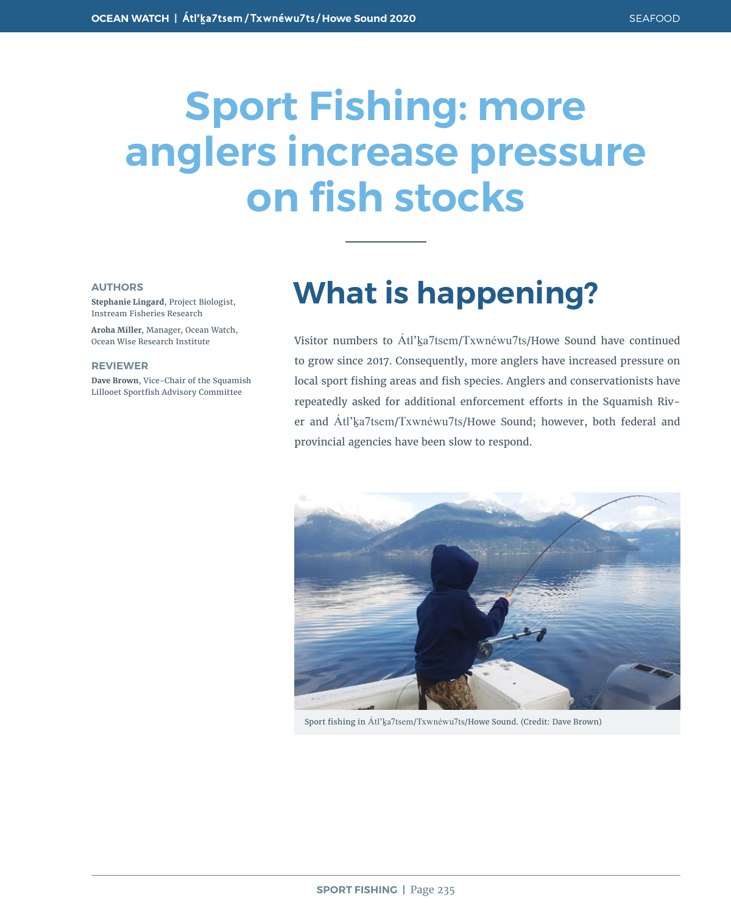# **Sport Fishing: more anglers increase pressure on fish stocks**

#### **AUTHORS**

**Stephanie Lingard**, Project Biologist, Instream Fisheries Research

**Aroha Miller**, Manager, Ocean Watch, Ocean Wise Research Institute

#### **REVIEWER**

**Dave Brown**, Vice-Chair of the Squamish Lillooet Sportfish Advisory Committee

# **What is happening?**

Visitor numbers to Átl'ḵa7tsem/Txwnéwu7ts/Howe Sound have continued to grow since 2017. Consequently, more anglers have increased pressure on local sport fishing areas and fish species. Anglers and conservationists have repeatedly asked for additional enforcement efforts in the Squamish River and Átl'ka7tsem/Txwnéwu7ts/Howe Sound; however, both federal and provincial agencies have been slow to respond.



Sport fishing in Átl'ka7tsem/Txwnéwu7ts/Howe Sound. (Credit: Dave Brown)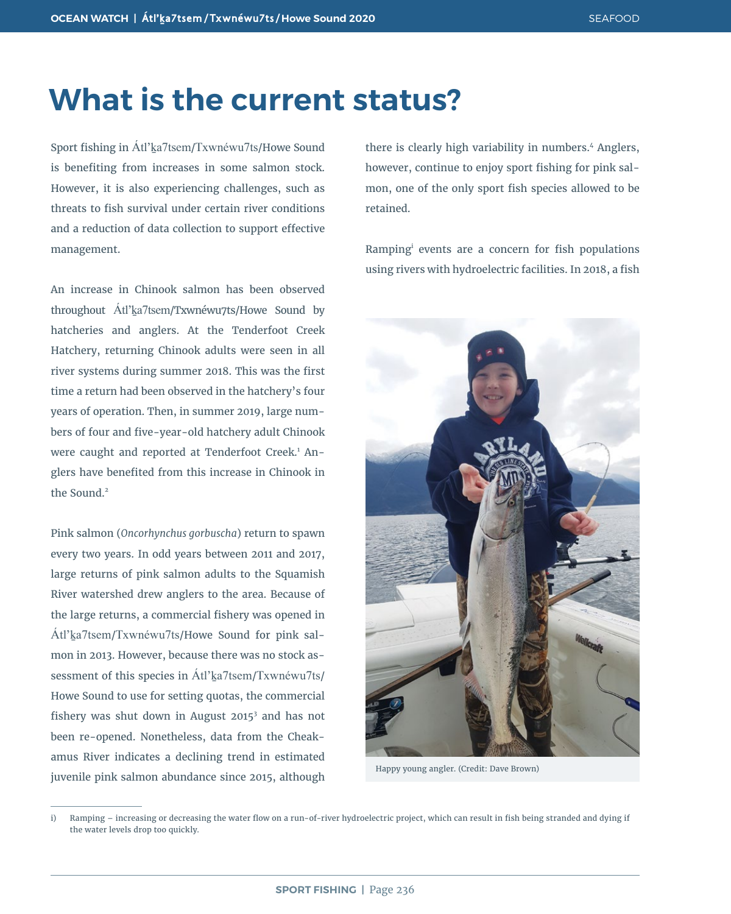### **What is the current status?**

Sport fishing in Átl'ka7tsem/Txwnéwu7ts/Howe Sound is benefiting from increases in some salmon stock. However, it is also experiencing challenges, such as threats to fish survival under certain river conditions and a reduction of data collection to support effective management.

An increase in Chinook salmon has been observed throughout Átl'ḵa7tsem/Txwnéwu7ts/Howe Sound by hatcheries and anglers. At the Tenderfoot Creek Hatchery, returning Chinook adults were seen in all river systems during summer 2018. This was the first time a return had been observed in the hatchery's four years of operation. Then, in summer 2019, large numbers of four and five-year-old hatchery adult Chinook were caught and reported at Tenderfoot Creek.<sup>1</sup> Anglers have benefited from this increase in Chinook in the Sound.<sup>2</sup>

Pink salmon (*Oncorhynchus gorbuscha*) return to spawn every two years. In odd years between 2011 and 2017, large returns of pink salmon adults to the Squamish River watershed drew anglers to the area. Because of the large returns, a commercial fishery was opened in Átl'ḵa7tsem/Txwnéwu7ts/Howe Sound for pink salmon in 2013. However, because there was no stock assessment of this species in Átl'ka7tsem/Txwnéwu7ts/ Howe Sound to use for setting quotas, the commercial fishery was shut down in August  $2015<sup>3</sup>$  and has not been re-opened. Nonetheless, data from the Cheakamus River indicates a declining trend in estimated juvenile pink salmon abundance since 2015, although

there is clearly high variability in numbers.<sup>4</sup> Anglers, however, continue to enjoy sport fishing for pink salmon, one of the only sport fish species allowed to be retained.

Rampingi events are a concern for fish populations using rivers with hydroelectric facilities. In 2018, a fish



Happy young angler. (Credit: Dave Brown)

i) Ramping – increasing or decreasing the water flow on a run-of-river hydroelectric project, which can result in fish being stranded and dying if the water levels drop too quickly.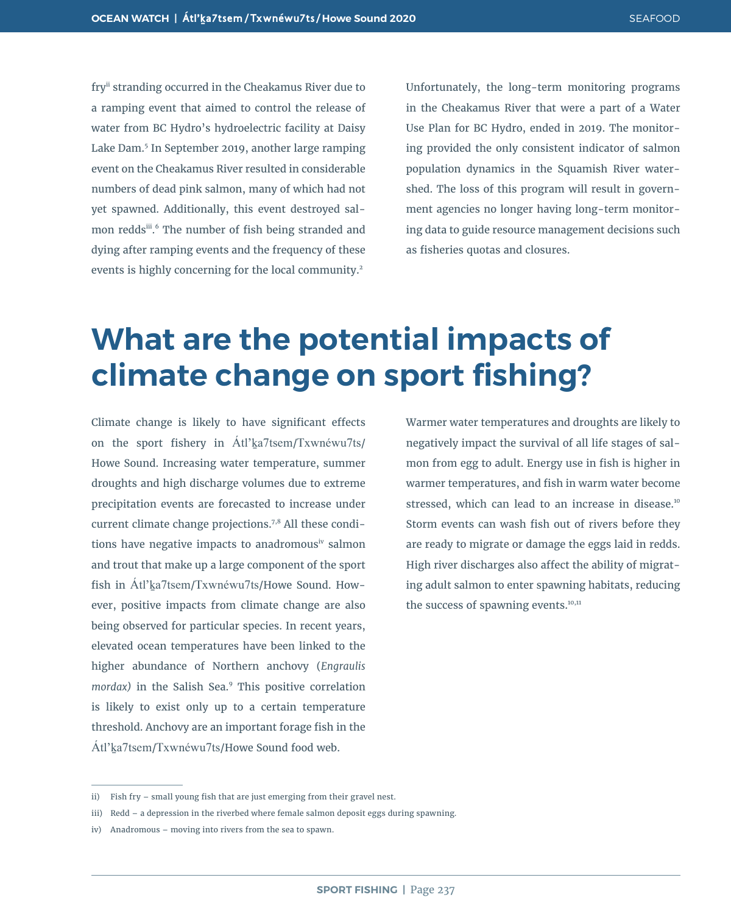fry<sup>ii</sup> stranding occurred in the Cheakamus River due to a ramping event that aimed to control the release of water from BC Hydro's hydroelectric facility at Daisy Lake Dam.<sup>5</sup> In September 2019, another large ramping event on the Cheakamus River resulted in considerable numbers of dead pink salmon, many of which had not yet spawned. Additionally, this event destroyed salmon redds<sup>ii</sup>.<sup>6</sup> The number of fish being stranded and dying after ramping events and the frequency of these events is highly concerning for the local community.<sup>2</sup>

Unfortunately, the long-term monitoring programs in the Cheakamus River that were a part of a Water Use Plan for BC Hydro, ended in 2019. The monitoring provided the only consistent indicator of salmon population dynamics in the Squamish River watershed. The loss of this program will result in government agencies no longer having long-term monitoring data to guide resource management decisions such as fisheries quotas and closures.

## **What are the potential impacts of climate change on sport fishing?**

Climate change is likely to have significant effects on the sport fishery in Átl'ka7tsem/Txwnéwu7ts/ Howe Sound. Increasing water temperature, summer droughts and high discharge volumes due to extreme precipitation events are forecasted to increase under current climate change projections.7,8 All these conditions have negative impacts to anadromousiv salmon and trout that make up a large component of the sport fish in Átl'ka7tsem/Txwnéwu7ts/Howe Sound. However, positive impacts from climate change are also being observed for particular species. In recent years, elevated ocean temperatures have been linked to the higher abundance of Northern anchovy (*Engraulis*  mordax) in the Salish Sea.<sup>9</sup> This positive correlation is likely to exist only up to a certain temperature threshold. Anchovy are an important forage fish in the Átl'ḵa7tsem/Txwnéwu7ts/Howe Sound food web.

Warmer water temperatures and droughts are likely to negatively impact the survival of all life stages of salmon from egg to adult. Energy use in fish is higher in warmer temperatures, and fish in warm water become stressed, which can lead to an increase in disease.<sup>10</sup> Storm events can wash fish out of rivers before they are ready to migrate or damage the eggs laid in redds. High river discharges also affect the ability of migrating adult salmon to enter spawning habitats, reducing the success of spawning events. $10,11$ 

ii) Fish fry – small young fish that are just emerging from their gravel nest.

iii) Redd – a depression in the riverbed where female salmon deposit eggs during spawning.

iv) Anadromous – moving into rivers from the sea to spawn.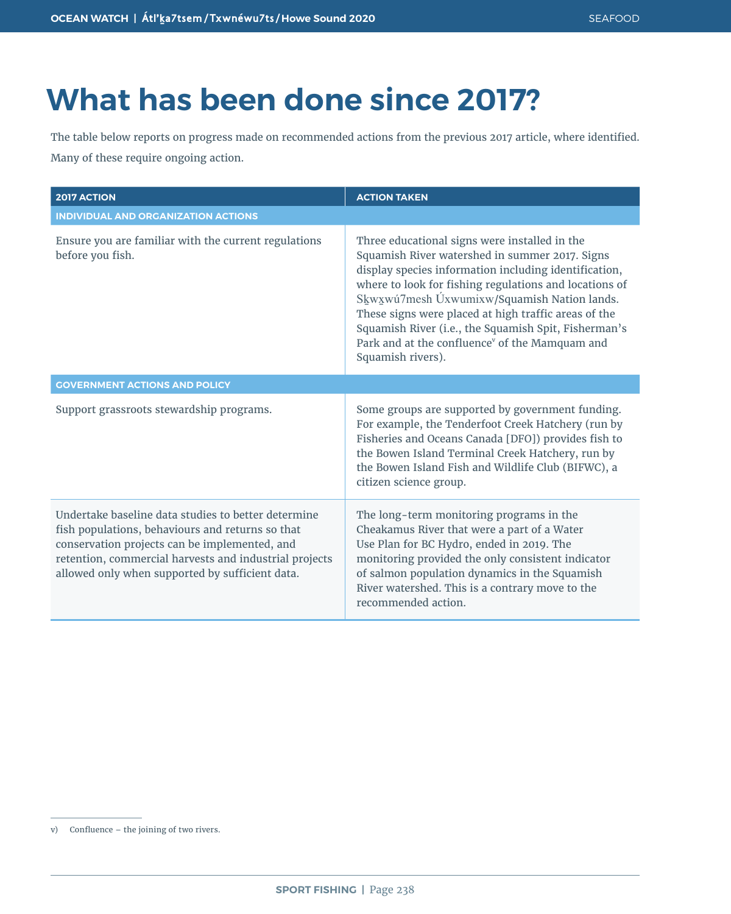# **What has been done since 2017?**

The table below reports on progress made on recommended actions from the previous 2017 article, where identified. Many of these require ongoing action.

| <b>2017 ACTION</b>                                                                                                                                                                                                                                                    | <b>ACTION TAKEN</b>                                                                                                                                                                                                                                                                                                                                                                                                                                                  |
|-----------------------------------------------------------------------------------------------------------------------------------------------------------------------------------------------------------------------------------------------------------------------|----------------------------------------------------------------------------------------------------------------------------------------------------------------------------------------------------------------------------------------------------------------------------------------------------------------------------------------------------------------------------------------------------------------------------------------------------------------------|
| <b>INDIVIDUAL AND ORGANIZATION ACTIONS</b>                                                                                                                                                                                                                            |                                                                                                                                                                                                                                                                                                                                                                                                                                                                      |
| Ensure you are familiar with the current regulations<br>before you fish.                                                                                                                                                                                              | Three educational signs were installed in the<br>Squamish River watershed in summer 2017. Signs<br>display species information including identification,<br>where to look for fishing regulations and locations of<br>Skwxwú7mesh Úxwumixw/Squamish Nation lands.<br>These signs were placed at high traffic areas of the<br>Squamish River (i.e., the Squamish Spit, Fisherman's<br>Park and at the confluence <sup>v</sup> of the Mamquam and<br>Squamish rivers). |
| <b>GOVERNMENT ACTIONS AND POLICY</b>                                                                                                                                                                                                                                  |                                                                                                                                                                                                                                                                                                                                                                                                                                                                      |
| Support grassroots stewardship programs.                                                                                                                                                                                                                              | Some groups are supported by government funding.<br>For example, the Tenderfoot Creek Hatchery (run by<br>Fisheries and Oceans Canada [DFO]) provides fish to<br>the Bowen Island Terminal Creek Hatchery, run by<br>the Bowen Island Fish and Wildlife Club (BIFWC), a<br>citizen science group.                                                                                                                                                                    |
| Undertake baseline data studies to better determine<br>fish populations, behaviours and returns so that<br>conservation projects can be implemented, and<br>retention, commercial harvests and industrial projects<br>allowed only when supported by sufficient data. | The long-term monitoring programs in the<br>Cheakamus River that were a part of a Water<br>Use Plan for BC Hydro, ended in 2019. The<br>monitoring provided the only consistent indicator<br>of salmon population dynamics in the Squamish<br>River watershed. This is a contrary move to the<br>recommended action.                                                                                                                                                 |

v) Confluence – the joining of two rivers.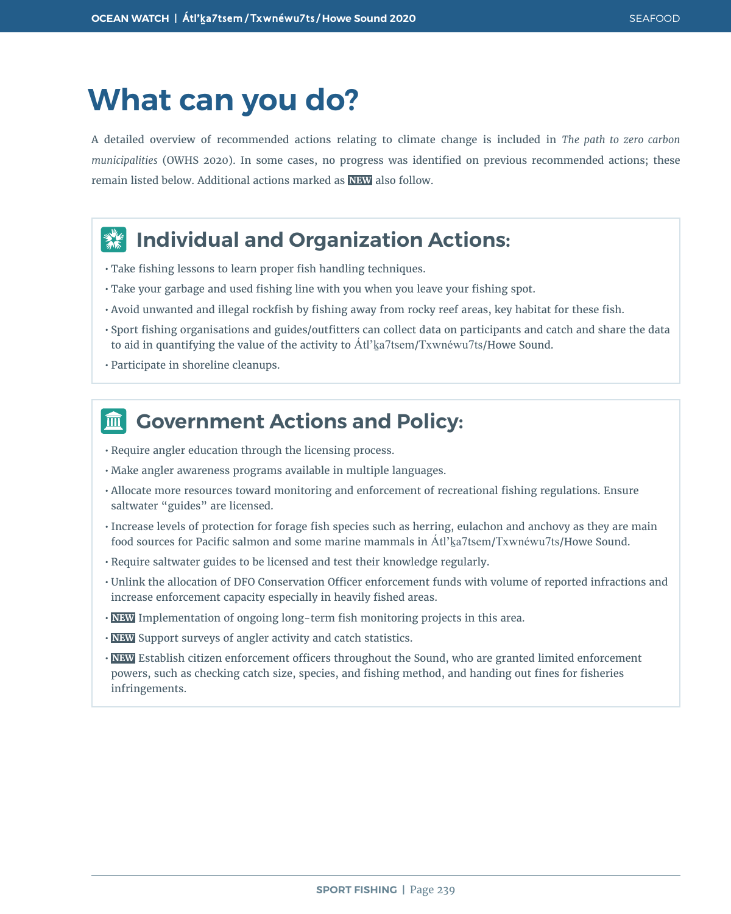# **What can you do?**

A detailed overview of recommended actions relating to climate change is included in *The path to zero carbon municipalities* (OWHS 2020). In some cases, no progress was identified on previous recommended actions; these remain listed below. Additional actions marked as **NEW** also follow.

#### **Individual and Organization Actions:**  $\frac{d}{dx}$

- Take fishing lessons to learn proper fish handling techniques.
- Take your garbage and used fishing line with you when you leave your fishing spot.
- Avoid unwanted and illegal rockfish by fishing away from rocky reef areas, key habitat for these fish.
- Sport fishing organisations and guides/outfitters can collect data on participants and catch and share the data to aid in quantifying the value of the activity to Átl'ka7tsem/Txwnéwu7ts/Howe Sound.
- Participate in shoreline cleanups.

#### **Government Actions and Policy:** 而

- Require angler education through the licensing process.
- Make angler awareness programs available in multiple languages.
- Allocate more resources toward monitoring and enforcement of recreational fishing regulations. Ensure saltwater "guides" are licensed.
- Increase levels of protection for forage fish species such as herring, eulachon and anchovy as they are main food sources for Pacific salmon and some marine mammals in Átl'ka7tsem/Txwnéwu7ts/Howe Sound.
- Require saltwater guides to be licensed and test their knowledge regularly.
- Unlink the allocation of DFO Conservation Officer enforcement funds with volume of reported infractions and increase enforcement capacity especially in heavily fished areas.
- **NEW** Implementation of ongoing long-term fish monitoring projects in this area.
- **NEW** Support surveys of angler activity and catch statistics.
- **NEW** Establish citizen enforcement officers throughout the Sound, who are granted limited enforcement powers, such as checking catch size, species, and fishing method, and handing out fines for fisheries infringements.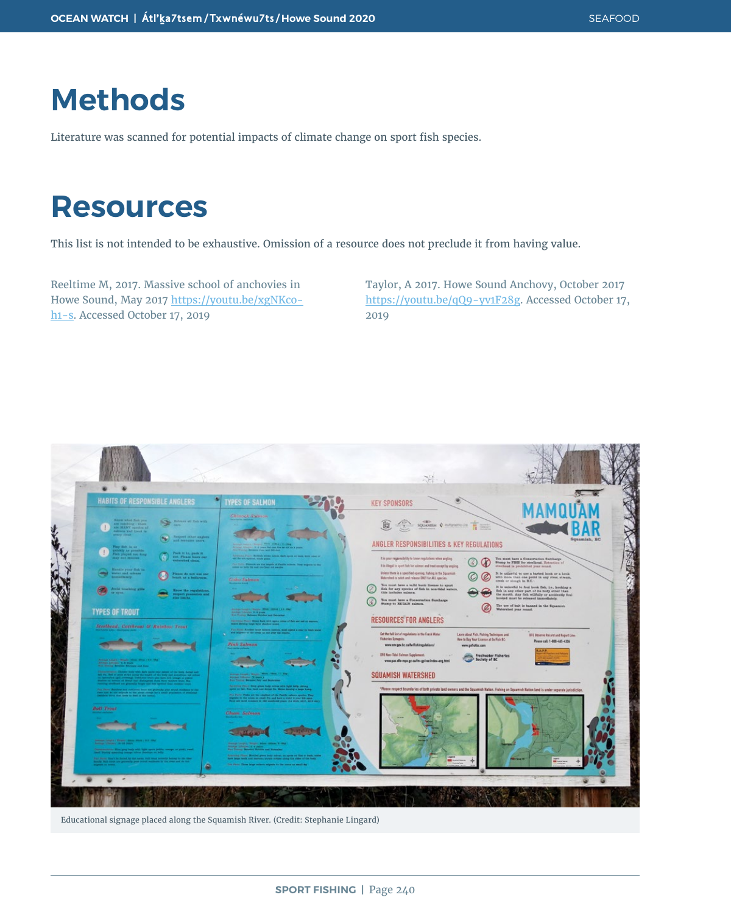### **Methods**

Literature was scanned for potential impacts of climate change on sport fish species.

### **Resources**

This list is not intended to be exhaustive. Omission of a resource does not preclude it from having value.

Reeltime M, 2017. Massive school of anchovies in Howe Sound, May 2017 [https://youtu.be/xgNKco](https://youtu.be/xgNKco-h1-s)[h1-s.](https://youtu.be/xgNKco-h1-s) Accessed October 17, 2019

Taylor, A 2017. Howe Sound Anchovy, October 2017 [https://youtu.be/qQ9-yv1F28g.](https://youtu.be/qQ9-yv1F28g) Accessed October 17, 2019



Educational signage placed along the Squamish River. (Credit: Stephanie Lingard)